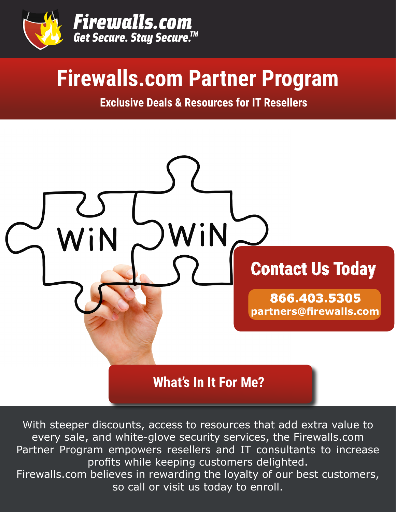

# **Firewalls.com Partner Program**

**Exclusive Deals & Resources for IT Resellers**



With steeper discounts, access to resources that add extra value to every sale, and white-glove security services, the Firewalls.com Partner Program empowers resellers and IT consultants to increase profits while keeping customers delighted. Firewalls.com believes in rewarding the loyalty of our best customers, so call or visit us today to enroll.